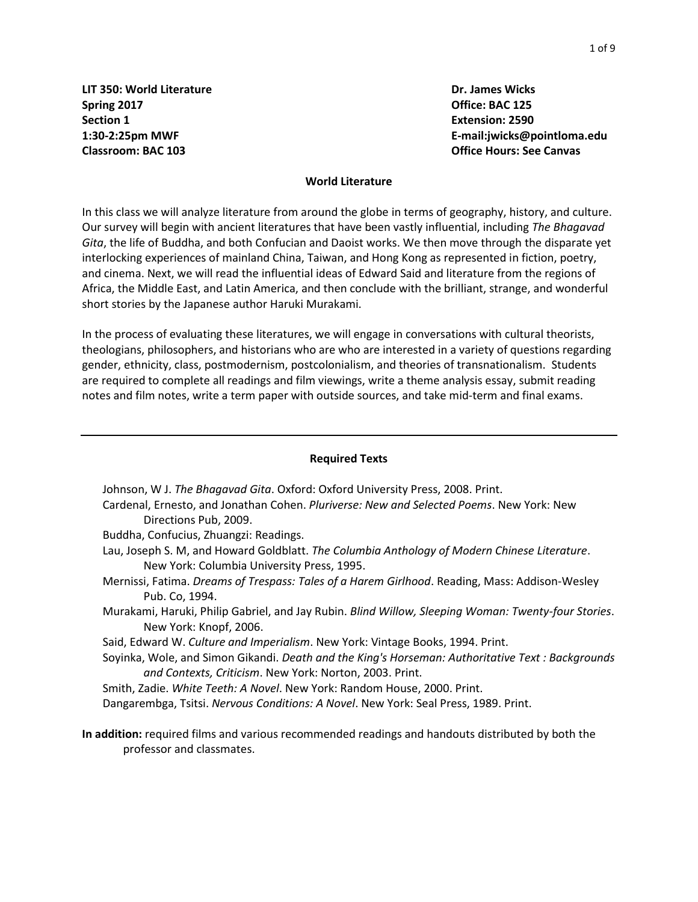**LIT** 350: World Literature **Dr. James Wicks Spring 2017 Office: BAC 125 Section 1 Extension: 2590**

**1:30-2:25pm MWF E-mail:jwicks@pointloma.edu Classroom: BAC 103 Office Hours: See Canvas**

#### **World Literature**

In this class we will analyze literature from around the globe in terms of geography, history, and culture. Our survey will begin with ancient literatures that have been vastly influential, including *The Bhagavad Gita*, the life of Buddha, and both Confucian and Daoist works. We then move through the disparate yet interlocking experiences of mainland China, Taiwan, and Hong Kong as represented in fiction, poetry, and cinema. Next, we will read the influential ideas of Edward Said and literature from the regions of Africa, the Middle East, and Latin America, and then conclude with the brilliant, strange, and wonderful short stories by the Japanese author Haruki Murakami.

In the process of evaluating these literatures, we will engage in conversations with cultural theorists, theologians, philosophers, and historians who are who are interested in a variety of questions regarding gender, ethnicity, class, postmodernism, postcolonialism, and theories of transnationalism. Students are required to complete all readings and film viewings, write a theme analysis essay, submit reading notes and film notes, write a term paper with outside sources, and take mid-term and final exams.

#### **Required Texts**

Johnson, W J. *The Bhagavad Gita*. Oxford: Oxford University Press, 2008. Print.

- Cardenal, Ernesto, and Jonathan Cohen. *Pluriverse: New and Selected Poems*. New York: New Directions Pub, 2009.
- Buddha, Confucius, Zhuangzi: Readings.
- Lau, Joseph S. M, and Howard Goldblatt. *The Columbia Anthology of Modern Chinese Literature*. New York: Columbia University Press, 1995.
- Mernissi, Fatima. *Dreams of Trespass: Tales of a Harem Girlhood*. Reading, Mass: Addison-Wesley Pub. Co, 1994.
- Murakami, Haruki, Philip Gabriel, and Jay Rubin. *Blind Willow, Sleeping Woman: Twenty-four Stories*. New York: Knopf, 2006.
- Said, Edward W. *Culture and Imperialism*. New York: Vintage Books, 1994. Print.
- Soyinka, Wole, and Simon Gikandi. *Death and the King's Horseman: Authoritative Text : Backgrounds and Contexts, Criticism*. New York: Norton, 2003. Print.
- Smith, Zadie. *White Teeth: A Novel*. New York: Random House, 2000. Print. Dangarembga, Tsitsi. *Nervous Conditions: A Novel*. New York: Seal Press, 1989. Print.
- **In addition:** required films and various recommended readings and handouts distributed by both the professor and classmates.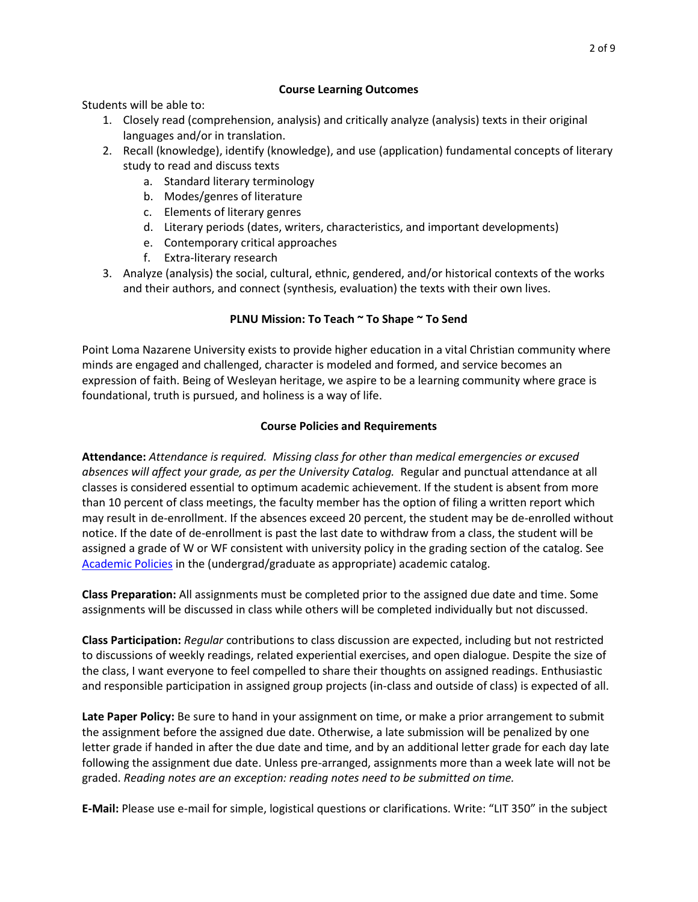Students will be able to:

- 1. Closely read (comprehension, analysis) and critically analyze (analysis) texts in their original languages and/or in translation.
- 2. Recall (knowledge), identify (knowledge), and use (application) fundamental concepts of literary study to read and discuss texts
	- a. Standard literary terminology
	- b. Modes/genres of literature
	- c. Elements of literary genres
	- d. Literary periods (dates, writers, characteristics, and important developments)
	- e. Contemporary critical approaches
	- f. Extra-literary research
- 3. Analyze (analysis) the social, cultural, ethnic, gendered, and/or historical contexts of the works and their authors, and connect (synthesis, evaluation) the texts with their own lives.

### **PLNU Mission: To Teach ~ To Shape ~ To Send**

Point Loma Nazarene University exists to provide higher education in a vital Christian community where minds are engaged and challenged, character is modeled and formed, and service becomes an expression of faith. Being of Wesleyan heritage, we aspire to be a learning community where grace is foundational, truth is pursued, and holiness is a way of life.

# **Course Policies and Requirements**

**Attendance:** *Attendance is required. Missing class for other than medical emergencies or excused absences will affect your grade, as per the University Catalog.* Regular and punctual attendance at all classes is considered essential to optimum academic achievement. If the student is absent from more than 10 percent of class meetings, the faculty member has the option of filing a written report which may result in de-enrollment. If the absences exceed 20 percent, the student may be de-enrolled without notice. If the date of de-enrollment is past the last date to withdraw from a class, the student will be assigned a grade of W or WF consistent with university policy in the grading section of the catalog. See [Academic Policies](http://catalog.pointloma.edu/content.php?catoid=24&navoid=1581) in the (undergrad/graduate as appropriate) academic catalog.

**Class Preparation:** All assignments must be completed prior to the assigned due date and time. Some assignments will be discussed in class while others will be completed individually but not discussed.

**Class Participation:** *Regular* contributions to class discussion are expected, including but not restricted to discussions of weekly readings, related experiential exercises, and open dialogue. Despite the size of the class, I want everyone to feel compelled to share their thoughts on assigned readings. Enthusiastic and responsible participation in assigned group projects (in-class and outside of class) is expected of all.

**Late Paper Policy:** Be sure to hand in your assignment on time, or make a prior arrangement to submit the assignment before the assigned due date. Otherwise, a late submission will be penalized by one letter grade if handed in after the due date and time, and by an additional letter grade for each day late following the assignment due date. Unless pre-arranged, assignments more than a week late will not be graded. *Reading notes are an exception: reading notes need to be submitted on time.*

**E-Mail:** Please use e-mail for simple, logistical questions or clarifications. Write: "LIT 350" in the subject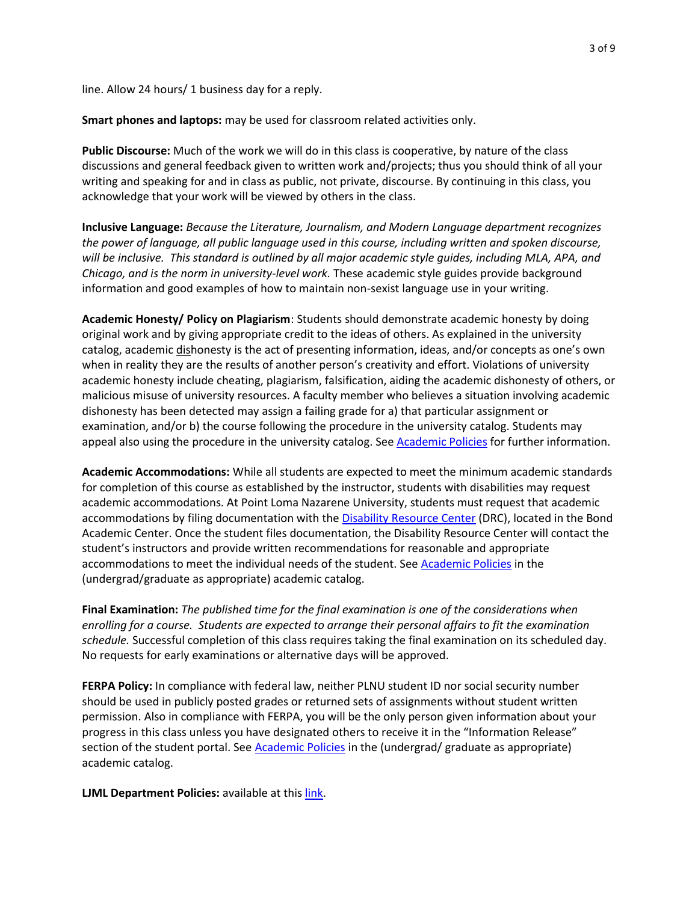line. Allow 24 hours/ 1 business day for a reply.

**Smart phones and laptops:** may be used for classroom related activities only.

**Public Discourse:** Much of the work we will do in this class is cooperative, by nature of the class discussions and general feedback given to written work and/projects; thus you should think of all your writing and speaking for and in class as public, not private, discourse. By continuing in this class, you acknowledge that your work will be viewed by others in the class.

**Inclusive Language:** *Because the Literature, Journalism, and Modern Language department recognizes the power of language, all public language used in this course, including written and spoken discourse, will be inclusive. This standard is outlined by all major academic style guides, including MLA, APA, and Chicago, and is the norm in university-level work.* These academic style guides provide background information and good examples of how to maintain non-sexist language use in your writing.

**Academic Honesty/ Policy on Plagiarism**: Students should demonstrate academic honesty by doing original work and by giving appropriate credit to the ideas of others. As explained in the university catalog, academic dishonesty is the act of presenting information, ideas, and/or concepts as one's own when in reality they are the results of another person's creativity and effort. Violations of university academic honesty include cheating, plagiarism, falsification, aiding the academic dishonesty of others, or malicious misuse of university resources. A faculty member who believes a situation involving academic dishonesty has been detected may assign a failing grade for a) that particular assignment or examination, and/or b) the course following the procedure in the university catalog. Students may appeal also using the procedure in the university catalog. See [Academic Policies](http://catalog.pointloma.edu/content.php?catoid=24&navoid=1581#Academic_Honesty) for further information.

**Academic Accommodations:** While all students are expected to meet the minimum academic standards for completion of this course as established by the instructor, students with disabilities may request academic accommodations. At Point Loma Nazarene University, students must request that academic accommodations by filing documentation with the **[Disability Resource Center](http://www.pointloma.edu/experience/offices/administrative-offices/academic-advising-office/disability-resource-center) (DRC)**, located in the Bond Academic Center. Once the student files documentation, the Disability Resource Center will contact the student's instructors and provide written recommendations for reasonable and appropriate accommodations to meet the individual needs of the student. See [Academic Policies](http://catalog.pointloma.edu/content.php?catoid=24&navoid=1581) in the (undergrad/graduate as appropriate) academic catalog.

**Final Examination:** *The published time for the final examination is one of the considerations when enrolling for a course. Students are expected to arrange their personal affairs to fit the examination schedule.* Successful completion of this class requires taking the final examination on its scheduled day. No requests for early examinations or alternative days will be approved.

**FERPA Policy:** In compliance with federal law, neither PLNU student ID nor social security number should be used in publicly posted grades or returned sets of assignments without student written permission. Also in compliance with FERPA, you will be the only person given information about your progress in this class unless you have designated others to receive it in the "Information Release" section of the student portal. See [Academic Policies](http://catalog.pointloma.edu/content.php?catoid=24&navoid=1581) in the (undergrad/ graduate as appropriate) academic catalog.

**LJML Department Policies: available at thi[s link.](http://www.pointloma.edu/sites/default/files/filemanager/Literature_Journalism__Modern_Languages/LJML_Department_Syllabus_Statments_final_2016-17.pdf)**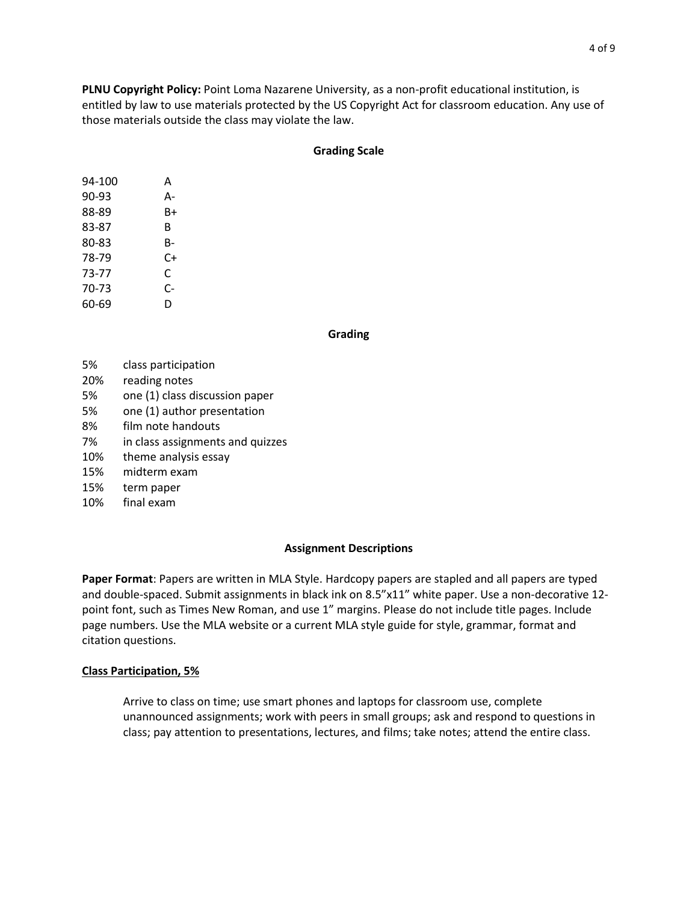**PLNU Copyright Policy:** Point Loma Nazarene University, as a non-profit educational institution, is entitled by law to use materials protected by the US Copyright Act for classroom education. Any use of those materials outside the class may violate the law.

#### **Grading Scale**

| 94-100 | А  |
|--------|----|
| 90-93  | А- |
| 88-89  | B+ |
| 83-87  | B  |
| 80-83  | B- |
| 78-79  | C+ |
| 73-77  | C  |
| 70-73  | C- |
| 60-69  | D  |

#### **Grading**

- 5% class participation
- 20% reading notes
- 5% one (1) class discussion paper
- 5% one (1) author presentation
- 8% film note handouts
- 7% in class assignments and quizzes
- 10% theme analysis essay
- 15% midterm exam
- 15% term paper
- 10% final exam

#### **Assignment Descriptions**

**Paper Format**: Papers are written in MLA Style. Hardcopy papers are stapled and all papers are typed and double-spaced. Submit assignments in black ink on 8.5"x11" white paper. Use a non-decorative 12 point font, such as Times New Roman, and use 1" margins. Please do not include title pages. Include page numbers. Use the MLA website or a current MLA style guide for style, grammar, format and citation questions.

#### **Class Participation, 5%**

Arrive to class on time; use smart phones and laptops for classroom use, complete unannounced assignments; work with peers in small groups; ask and respond to questions in class; pay attention to presentations, lectures, and films; take notes; attend the entire class.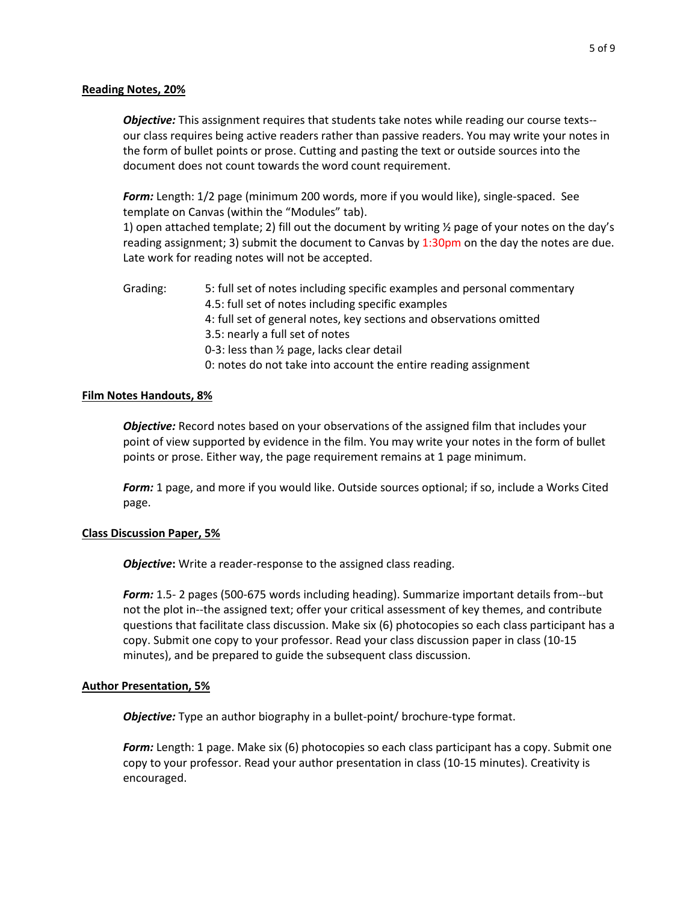### **Reading Notes, 20%**

*Objective:* This assignment requires that students take notes while reading our course texts- our class requires being active readers rather than passive readers. You may write your notes in the form of bullet points or prose. Cutting and pasting the text or outside sources into the document does not count towards the word count requirement.

*Form:* Length: 1/2 page (minimum 200 words, more if you would like), single-spaced. See template on Canvas (within the "Modules" tab).

1) open attached template; 2) fill out the document by writing ½ page of your notes on the day's reading assignment; 3) submit the document to Canvas by  $1:30 \text{pm}$  on the day the notes are due. Late work for reading notes will not be accepted.

Grading: 5: full set of notes including specific examples and personal commentary 4.5: full set of notes including specific examples 4: full set of general notes, key sections and observations omitted 3.5: nearly a full set of notes 0-3: less than ½ page, lacks clear detail 0: notes do not take into account the entire reading assignment

### **Film Notes Handouts, 8%**

*Objective:* Record notes based on your observations of the assigned film that includes your point of view supported by evidence in the film. You may write your notes in the form of bullet points or prose. Either way, the page requirement remains at 1 page minimum.

*Form:* 1 page, and more if you would like. Outside sources optional; if so, include a Works Cited page.

### **Class Discussion Paper, 5%**

*Objective*: Write a reader-response to the assigned class reading.

*Form:* 1.5- 2 pages (500-675 words including heading). Summarize important details from--but not the plot in--the assigned text; offer your critical assessment of key themes, and contribute questions that facilitate class discussion. Make six (6) photocopies so each class participant has a copy. Submit one copy to your professor. Read your class discussion paper in class (10-15 minutes), and be prepared to guide the subsequent class discussion.

### **Author Presentation, 5%**

**Objective:** Type an author biography in a bullet-point/ brochure-type format.

*Form:* Length: 1 page. Make six (6) photocopies so each class participant has a copy. Submit one copy to your professor. Read your author presentation in class (10-15 minutes). Creativity is encouraged.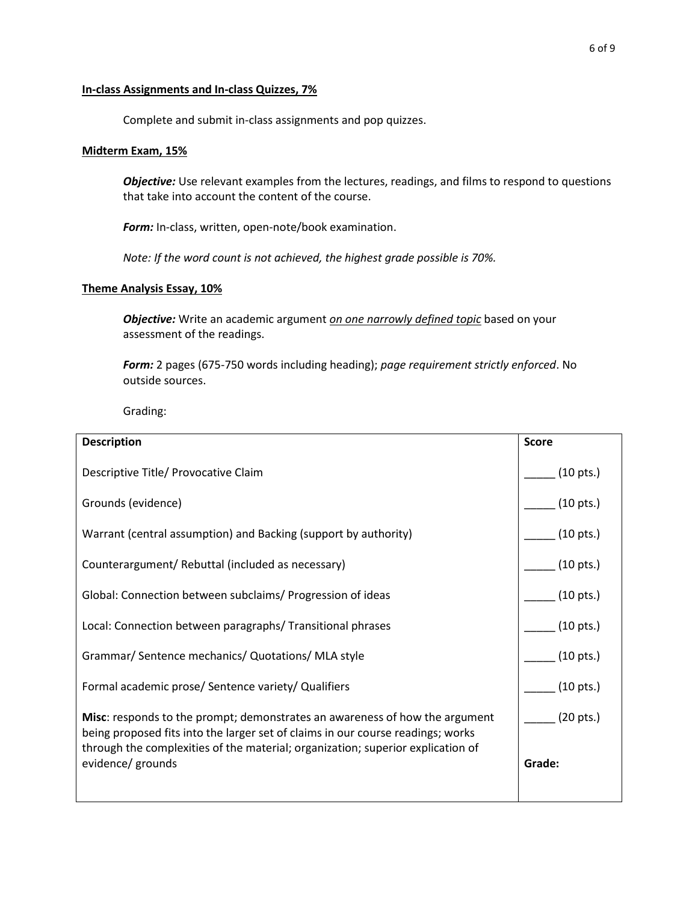### **In-class Assignments and In-class Quizzes, 7%**

Complete and submit in-class assignments and pop quizzes.

### **Midterm Exam, 15%**

*Objective:* Use relevant examples from the lectures, readings, and films to respond to questions that take into account the content of the course.

*Form:* In-class, written, open-note/book examination.

*Note: If the word count is not achieved, the highest grade possible is 70%.*

### **Theme Analysis Essay, 10%**

*Objective:* Write an academic argument *on one narrowly defined topic* based on your assessment of the readings.

*Form:* 2 pages (675-750 words including heading); *page requirement strictly enforced*. No outside sources.

Grading:

| <b>Description</b>                                                                                                                                                                                                                                       | <b>Score</b>        |
|----------------------------------------------------------------------------------------------------------------------------------------------------------------------------------------------------------------------------------------------------------|---------------------|
| Descriptive Title/ Provocative Claim                                                                                                                                                                                                                     | $(10 \text{ pts.})$ |
| Grounds (evidence)                                                                                                                                                                                                                                       | $(10 \text{ pts.})$ |
| Warrant (central assumption) and Backing (support by authority)                                                                                                                                                                                          | $(10 \text{ pts.})$ |
| Counterargument/ Rebuttal (included as necessary)                                                                                                                                                                                                        | $(10 \text{ pts.})$ |
| Global: Connection between subclaims/ Progression of ideas                                                                                                                                                                                               | $(10 \text{ pts.})$ |
| Local: Connection between paragraphs/Transitional phrases                                                                                                                                                                                                | $(10 \text{ pts.})$ |
| Grammar/ Sentence mechanics/ Quotations/ MLA style                                                                                                                                                                                                       | $(10 \text{ pts.})$ |
| Formal academic prose/ Sentence variety/ Qualifiers                                                                                                                                                                                                      | $(10 \text{ pts.})$ |
| <b>Misc:</b> responds to the prompt; demonstrates an awareness of how the argument<br>being proposed fits into the larger set of claims in our course readings; works<br>through the complexities of the material; organization; superior explication of | $(20 \text{ pts.})$ |
| evidence/ grounds                                                                                                                                                                                                                                        | Grade:              |
|                                                                                                                                                                                                                                                          |                     |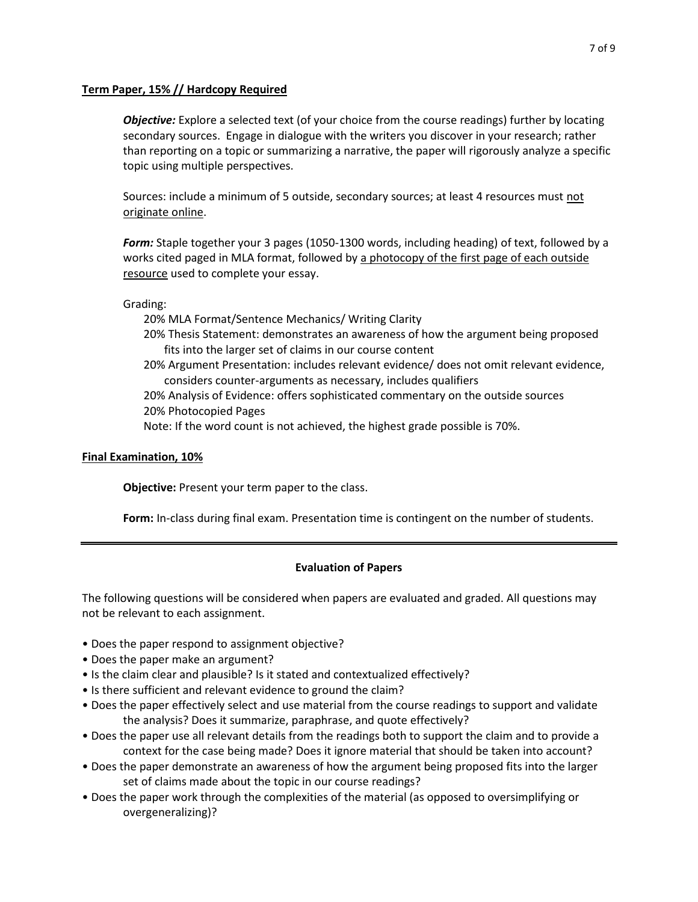### **Term Paper, 15% // Hardcopy Required**

*Objective:* Explore a selected text (of your choice from the course readings) further by locating secondary sources. Engage in dialogue with the writers you discover in your research; rather than reporting on a topic or summarizing a narrative, the paper will rigorously analyze a specific topic using multiple perspectives.

Sources: include a minimum of 5 outside, secondary sources; at least 4 resources must not originate online.

*Form:* Staple together your 3 pages (1050-1300 words, including heading) of text, followed by a works cited paged in MLA format, followed by a photocopy of the first page of each outside resource used to complete your essay.

Grading:

20% MLA Format/Sentence Mechanics/ Writing Clarity

- 20% Thesis Statement: demonstrates an awareness of how the argument being proposed fits into the larger set of claims in our course content
- 20% Argument Presentation: includes relevant evidence/ does not omit relevant evidence, considers counter-arguments as necessary, includes qualifiers

20% Analysis of Evidence: offers sophisticated commentary on the outside sources 20% Photocopied Pages

Note: If the word count is not achieved, the highest grade possible is 70%.

## **Final Examination, 10%**

**Objective:** Present your term paper to the class.

**Form:** In-class during final exam. Presentation time is contingent on the number of students.

# **Evaluation of Papers**

The following questions will be considered when papers are evaluated and graded. All questions may not be relevant to each assignment.

- Does the paper respond to assignment objective?
- Does the paper make an argument?
- Is the claim clear and plausible? Is it stated and contextualized effectively?
- Is there sufficient and relevant evidence to ground the claim?
- Does the paper effectively select and use material from the course readings to support and validate the analysis? Does it summarize, paraphrase, and quote effectively?
- Does the paper use all relevant details from the readings both to support the claim and to provide a context for the case being made? Does it ignore material that should be taken into account?
- Does the paper demonstrate an awareness of how the argument being proposed fits into the larger set of claims made about the topic in our course readings?
- Does the paper work through the complexities of the material (as opposed to oversimplifying or overgeneralizing)?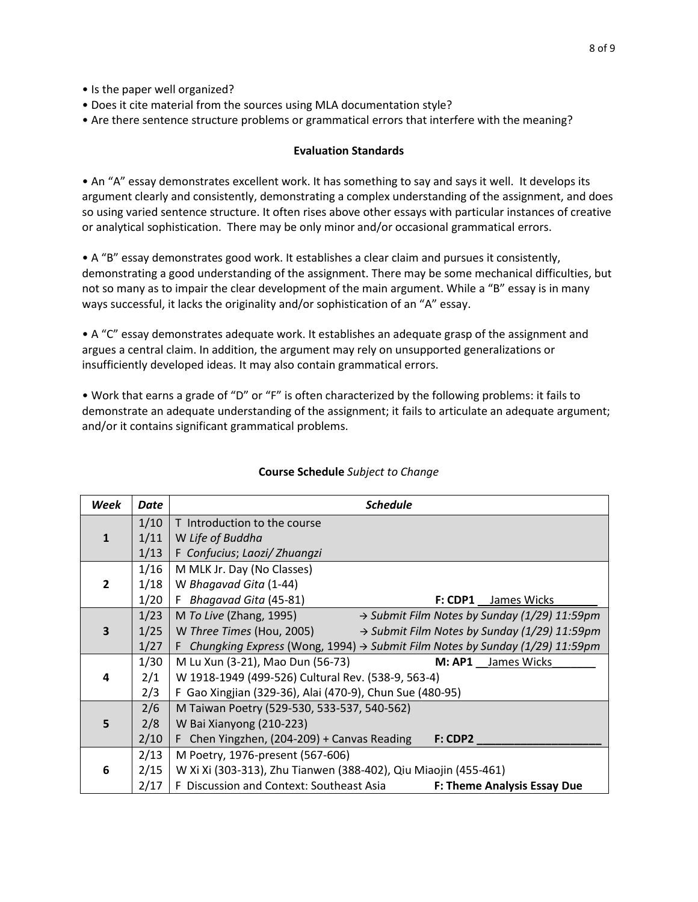- Is the paper well organized?
- Does it cite material from the sources using MLA documentation style?
- Are there sentence structure problems or grammatical errors that interfere with the meaning?

### **Evaluation Standards**

• An "A" essay demonstrates excellent work. It has something to say and says it well. It develops its argument clearly and consistently, demonstrating a complex understanding of the assignment, and does so using varied sentence structure. It often rises above other essays with particular instances of creative or analytical sophistication. There may be only minor and/or occasional grammatical errors.

• A "B" essay demonstrates good work. It establishes a clear claim and pursues it consistently, demonstrating a good understanding of the assignment. There may be some mechanical difficulties, but not so many as to impair the clear development of the main argument. While a "B" essay is in many ways successful, it lacks the originality and/or sophistication of an "A" essay.

• A "C" essay demonstrates adequate work. It establishes an adequate grasp of the assignment and argues a central claim. In addition, the argument may rely on unsupported generalizations or insufficiently developed ideas. It may also contain grammatical errors.

• Work that earns a grade of "D" or "F" is often characterized by the following problems: it fails to demonstrate an adequate understanding of the assignment; it fails to articulate an adequate argument; and/or it contains significant grammatical problems.

| Week           | Date                                               | <b>Schedule</b>                                                                           |  |
|----------------|----------------------------------------------------|-------------------------------------------------------------------------------------------|--|
|                | 1/10                                               | T Introduction to the course                                                              |  |
| $\mathbf{1}$   | 1/11                                               | W Life of Buddha                                                                          |  |
|                | 1/13                                               | F Confucius; Laozi/Zhuangzi                                                               |  |
| $\overline{2}$ | 1/16                                               | M MLK Jr. Day (No Classes)                                                                |  |
|                | 1/18                                               | W Bhagavad Gita (1-44)                                                                    |  |
|                | 1/20                                               | F Bhagavad Gita (45-81)<br><b>F: CDP1</b> James Wicks                                     |  |
| 3              | 1/23                                               | M To Live (Zhang, 1995)<br>→ Submit Film Notes by Sunday (1/29) 11:59pm                   |  |
|                | 1/25                                               | W Three Times (Hou, 2005)<br>$\rightarrow$ Submit Film Notes by Sunday (1/29) 11:59pm     |  |
|                | 1/27                                               | F Chungking Express (Wong, 1994) $\rightarrow$ Submit Film Notes by Sunday (1/29) 11:59pm |  |
|                | 1/30                                               | M Lu Xun (3-21), Mao Dun (56-73)<br>M: AP1 James Wicks                                    |  |
| 4              | 2/1                                                | W 1918-1949 (499-526) Cultural Rev. (538-9, 563-4)                                        |  |
|                | 2/3                                                | F Gao Xingjian (329-36), Alai (470-9), Chun Sue (480-95)                                  |  |
|                | 2/6<br>M Taiwan Poetry (529-530, 533-537, 540-562) |                                                                                           |  |
| 5              | 2/8                                                | W Bai Xianyong (210-223)                                                                  |  |
|                | 2/10                                               | F Chen Yingzhen, (204-209) + Canvas Reading<br>$F:$ CDP2                                  |  |
|                | 2/13                                               | M Poetry, 1976-present (567-606)                                                          |  |
| 6              | 2/15                                               | W Xi Xi (303-313), Zhu Tianwen (388-402), Qiu Miaojin (455-461)                           |  |
|                | 2/17                                               | F Discussion and Context: Southeast Asia<br><b>F: Theme Analysis Essay Due</b>            |  |

# **Course Schedule** *Subject to Change*